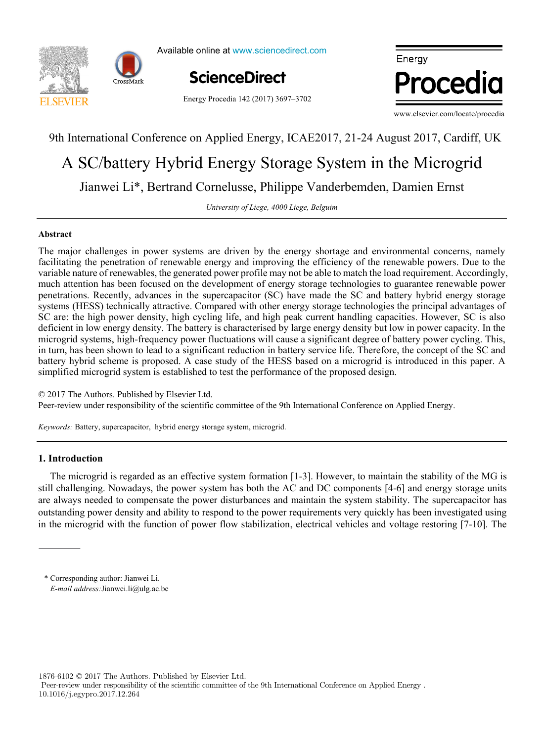

Available online at www.sciencedirect.com



Energy Procedia 142 (2017) 3697–3702



www.elsevier.com/locate/procedia

## 9th International Conference on Applied Energy, ICAE2017, 21-24 August 2017, Cardiff, UK

# Jianwei Li\*, Bertrand Cornelusse, Philippe Vanderbemden, Damien Ernst A SC/battery Hybrid Energy Storage System in the Microgrid

 $University of Liege, 4000 Liege, Belgium$ 

#### $\frac{1}{\pi}$  temperature function for a long-term district heat demand for a long-term district heat demand for  $\frac{1}{\pi}$ **Abstract**

I. Ine major challenges in power systems are driven by the energy shortage and environmental concerns, namely<br>facilitating the penetration of renewable energy and improving the efficiency of the renewable powers. Due to th *a* variable nature of renewables, the generated power profile may not be able to match the load requirement. Accordingly, much attention has been focused on the development of energy storage technologies to guarantee renewable power penetrations. Recently, advances in the supercapacitor (SC) have made the SC and battery hybrid energy storage **Abstract** microgrid systems, high-frequency power fluctuations will cause a significant degree of battery power cycling. This, battery hybrid scheme is proposed. A case study of the HESS based on a microgrid is introduced in this paper. A simplified microgrid system is established to test the performance of the proposed design. The major challenges in power systems are driven by the energy shortage and environmental concerns, namely systems (HESS) technically attractive. Compared with other energy storage technologies the principal advantages of SC are: the high power density, high cycling life, and high peak current handling capacities. However, SC is also deficient in low energy density. The battery is characterised by large energy density but low in power capacity. In the in turn, has been shown to lead to a significant reduction in battery service life. Therefore, the concept of the SC and

© 2017 The Authors. Published by Elsevier Ltd. Peer-review under responsibility of the scientific committee of the 9th International Conference on Applied Energy.

*Keywords:* Battery, supercapacitor, hybrid energy storage system, microgrid.

#### $T$  results showed that when only weather change is considered, the margin of error could be acceptable for some applications of error could be acceptable for some applications of  $T$ **1. Introduction**

The microgrid is regarded as an effective system formation [1-3]. However, to maintain the stability of the MG is still challenging. Nowadays, the power system has both the AC and DC components [4-6] and energy storage units The value of slope component increased on an average with the range of 3.8% per decade, that corresponds to the  $\pi$ are always needed to compensate the power disturbances and maintain the system stability. The supercapacitor has outstanding power density and ability to respond to the power requirements very quickly has been investigated using in the microgrid with the function of power flow stabilization, electrical vehicles and voltage restoring [7-10]. The

renovation scenarios were developed (shallow, intermediate, deep). To estimate the error, obtained heat demand values were

1876-6102 © 2017 The Authors. Published by Elsevier Ltd.

 Peer-review under responsibility of the scientific committee of the 9th International Conference on Applied Energy . 10.1016/j.egypro.2017.12.264

Peer-review under responsibility of the Scientific Committee of The 15th International Symposium on District Heating and \* Corresponding author: Jianwei Li. *E-mail address:*Jianwei.li@ulg.ac.be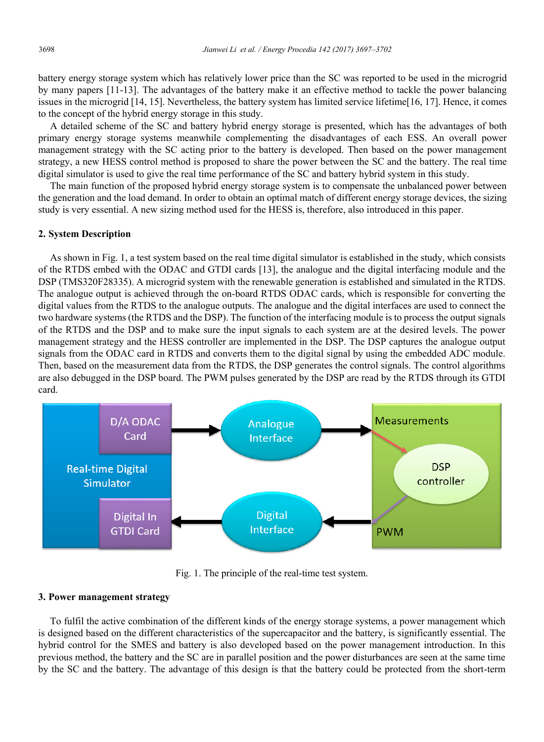battery energy storage system which has relatively lower price than the SC was reported to be used in the microgrid by many papers [11-13]. The advantages of the battery make it an effective method to tackle the power balancing issues in the microgrid [14, 15]. Nevertheless, the battery system has limited service lifetime[16, 17]. Hence, it comes to the concept of the hybrid energy storage in this study.

A detailed scheme of the SC and battery hybrid energy storage is presented, which has the advantages of both primary energy storage systems meanwhile complementing the disadvantages of each ESS. An overall power management strategy with the SC acting prior to the battery is developed. Then based on the power management strategy, a new HESS control method is proposed to share the power between the SC and the battery. The real time digital simulator is used to give the real time performance of the SC and battery hybrid system in this study.

The main function of the proposed hybrid energy storage system is to compensate the unbalanced power between the generation and the load demand. In order to obtain an optimal match of different energy storage devices, the sizing study is very essential. A new sizing method used for the HESS is, therefore, also introduced in this paper.

#### **2. System Description**

As shown in Fig. 1, a test system based on the real time digital simulator is established in the study, which consists of the RTDS embed with the ODAC and GTDI cards [13], the analogue and the digital interfacing module and the DSP (TMS320F28335). A microgrid system with the renewable generation is established and simulated in the RTDS. The analogue output is achieved through the on-board RTDS ODAC cards, which is responsible for converting the digital values from the RTDS to the analogue outputs. The analogue and the digital interfaces are used to connect the two hardware systems (the RTDS and the DSP). The function of the interfacing module is to process the output signals of the RTDS and the DSP and to make sure the input signals to each system are at the desired levels. The power management strategy and the HESS controller are implemented in the DSP. The DSP captures the analogue output signals from the ODAC card in RTDS and converts them to the digital signal by using the embedded ADC module. Then, based on the measurement data from the RTDS, the DSP generates the control signals. The control algorithms are also debugged in the DSP board. The PWM pulses generated by the DSP are read by the RTDS through its GTDI card.



Fig. 1. The principle of the real-time test system.

#### **3. Power management strategy**

To fulfil the active combination of the different kinds of the energy storage systems, a power management which is designed based on the different characteristics of the supercapacitor and the battery, is significantly essential. The hybrid control for the SMES and battery is also developed based on the power management introduction. In this previous method, the battery and the SC are in parallel position and the power disturbances are seen at the same time by the SC and the battery. The advantage of this design is that the battery could be protected from the short-term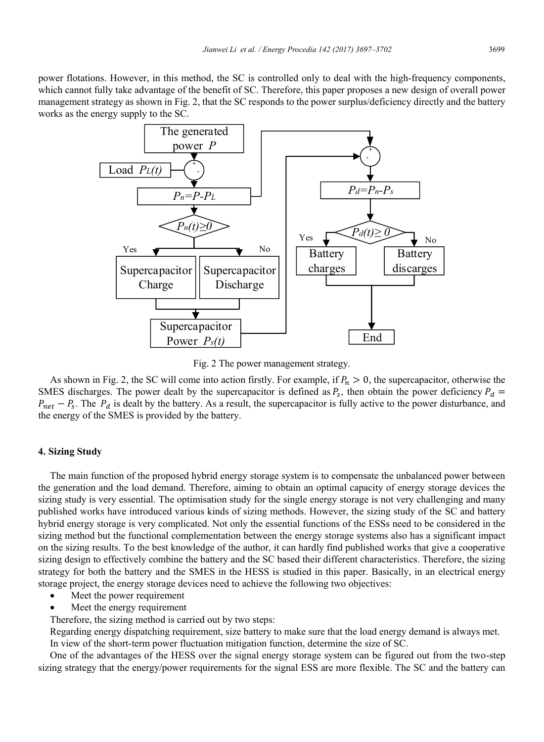power flotations. However, in this method, the SC is controlled only to deal with the high-frequency components, which cannot fully take advantage of the benefit of SC. Therefore, this paper proposes a new design of overall power management strategy as shown in Fig. 2, that the SC responds to the power surplus/deficiency directly and the battery works as the energy supply to the SC.



Fig. 2 The power management strategy.

As shown in Fig. 2, the SC will come into action firstly. For example, if  $P_n > 0$ , the supercapacitor, otherwise the SMES discharges. The power dealt by the supercapacitor is defined as  $P_s$ , then obtain the power deficiency  $P_d$  =  $P_{net} - P_{s}$ . The  $P_{d}$  is dealt by the battery. As a result, the supercapacitor is fully active to the power disturbance, and the energy of the SMES is provided by the battery.

#### **4. Sizing Study**

The main function of the proposed hybrid energy storage system is to compensate the unbalanced power between the generation and the load demand. Therefore, aiming to obtain an optimal capacity of energy storage devices the sizing study is very essential. The optimisation study for the single energy storage is not very challenging and many published works have introduced various kinds of sizing methods. However, the sizing study of the SC and battery hybrid energy storage is very complicated. Not only the essential functions of the ESSs need to be considered in the sizing method but the functional complementation between the energy storage systems also has a significant impact on the sizing results. To the best knowledge of the author, it can hardly find published works that give a cooperative sizing design to effectively combine the battery and the SC based their different characteristics. Therefore, the sizing strategy for both the battery and the SMES in the HESS is studied in this paper. Basically, in an electrical energy storage project, the energy storage devices need to achieve the following two objectives:

- Meet the power requirement
- Meet the energy requirement

Therefore, the sizing method is carried out by two steps:

Regarding energy dispatching requirement, size battery to make sure that the load energy demand is always met. In view of the short-term power fluctuation mitigation function, determine the size of SC.

One of the advantages of the HESS over the signal energy storage system can be figured out from the two-step sizing strategy that the energy/power requirements for the signal ESS are more flexible. The SC and the battery can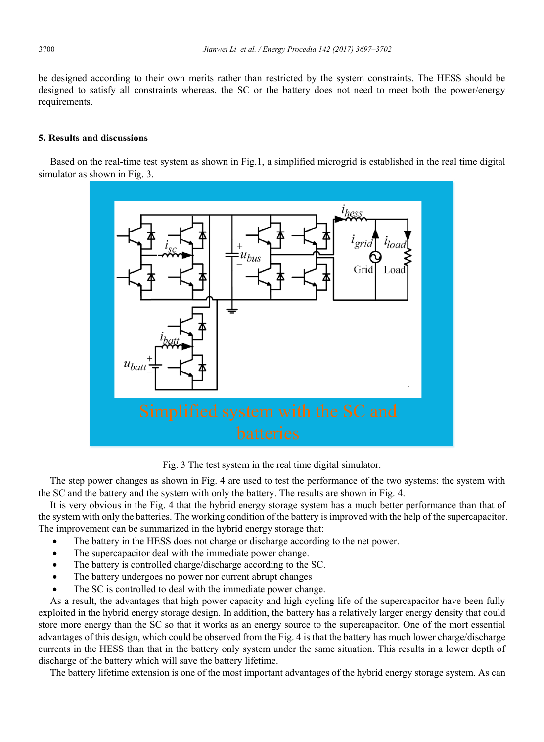be designed according to their own merits rather than restricted by the system constraints. The HESS should be designed to satisfy all constraints whereas, the SC or the battery does not need to meet both the power/energy requirements.

#### **5. Results and discussions**

Based on the real-time test system as shown in Fig.1, a simplified microgrid is established in the real time digital simulator as shown in Fig. 3.



Fig. 3 The test system in the real time digital simulator.

The step power changes as shown in Fig. 4 are used to test the performance of the two systems: the system with the SC and the battery and the system with only the battery. The results are shown in Fig. 4.

It is very obvious in the Fig. 4 that the hybrid energy storage system has a much better performance than that of the system with only the batteries. The working condition of the battery is improved with the help of the supercapacitor. The improvement can be summarized in the hybrid energy storage that:

- The battery in the HESS does not charge or discharge according to the net power.
- The supercapacitor deal with the immediate power change.
- The battery is controlled charge/discharge according to the SC.
- The battery undergoes no power nor current abrupt changes
- The SC is controlled to deal with the immediate power change.

As a result, the advantages that high power capacity and high cycling life of the supercapacitor have been fully exploited in the hybrid energy storage design. In addition, the battery has a relatively larger energy density that could store more energy than the SC so that it works as an energy source to the supercapacitor. One of the mort essential advantages of this design, which could be observed from the Fig. 4 is that the battery has much lower charge/discharge currents in the HESS than that in the battery only system under the same situation. This results in a lower depth of discharge of the battery which will save the battery lifetime.

The battery lifetime extension is one of the most important advantages of the hybrid energy storage system. As can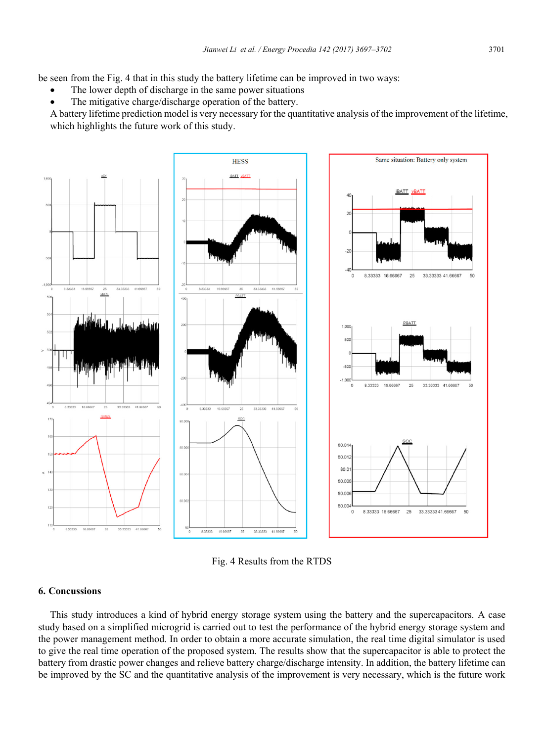be seen from the Fig. 4 that in this study the battery lifetime can be improved in two ways:

- The lower depth of discharge in the same power situations
- The mitigative charge/discharge operation of the battery.

A battery lifetime prediction model is very necessary for the quantitative analysis of the improvement of the lifetime, which highlights the future work of this study.



Fig. 4 Results from the RTDS

#### **6. Concussions**

This study introduces a kind of hybrid energy storage system using the battery and the supercapacitors. A case study based on a simplified microgrid is carried out to test the performance of the hybrid energy storage system and the power management method. In order to obtain a more accurate simulation, the real time digital simulator is used to give the real time operation of the proposed system. The results show that the supercapacitor is able to protect the battery from drastic power changes and relieve battery charge/discharge intensity. In addition, the battery lifetime can be improved by the SC and the quantitative analysis of the improvement is very necessary, which is the future work